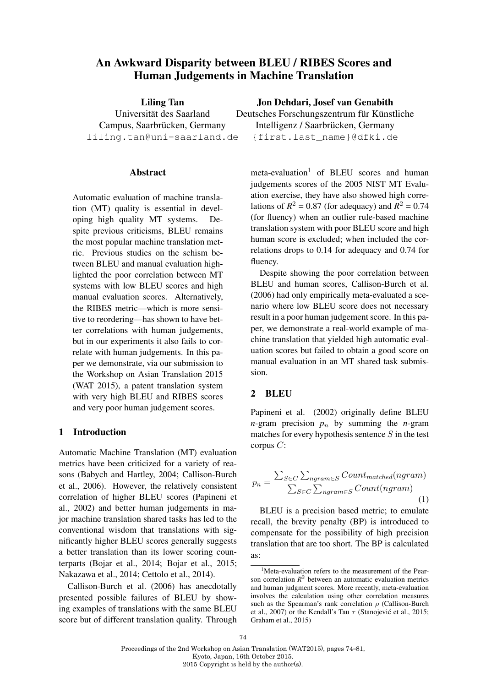# An Awkward Disparity between BLEU / RIBES Scores and Human Judgements in Machine Translation

Liling Tan Universität des Saarland Campus, Saarbrücken, Germany liling.tan@uni-saarland.de

#### **Abstract**

Automatic evaluation of machine translation (MT) quality is essential in developing high quality MT systems. Despite previous criticisms, BLEU remains the most popular machine translation metric. Previous studies on the schism between BLEU and manual evaluation highlighted the poor correlation between MT systems with low BLEU scores and high manual evaluation scores. Alternatively, the RIBES metric—which is more sensitive to reordering—has shown to have better correlations with human judgements, but in our experiments it also fails to correlate with human judgements. In this paper we demonstrate, via our submission to the Workshop on Asian Translation 2015 (WAT 2015), a patent translation system with very high BLEU and RIBES scores and very poor human judgement scores.

# 1 Introduction

Automatic Machine Translation (MT) evaluation metrics have been criticized for a variety of reasons (Babych and Hartley, 2004; Callison-Burch et al., 2006). However, the relatively consistent correlation of higher BLEU scores (Papineni et al., 2002) and better human judgements in major machine translation shared tasks has led to the conventional wisdom that translations with significantly higher BLEU scores generally suggests a better translation than its lower scoring counterparts (Bojar et al., 2014; Bojar et al., 2015; Nakazawa et al., 2014; Cettolo et al., 2014).

Callison-Burch et al. (2006) has anecdotally presented possible failures of BLEU by showing examples of translations with the same BLEU score but of different translation quality. Through

# Jon Dehdari, Josef van Genabith

Deutsches Forschungszentrum für Künstliche Intelligenz / Saarbrücken, Germany {first.last\_name}@dfki.de

 $meta-evaluation<sup>1</sup>$  of BLEU scores and human judgements scores of the 2005 NIST MT Evaluation exercise, they have also showed high correlations of  $R^2 = 0.87$  (for adequacy) and  $R^2 = 0.74$ (for fluency) when an outlier rule-based machine translation system with poor BLEU score and high human score is excluded; when included the correlations drops to 0.14 for adequacy and 0.74 for fluency.

Despite showing the poor correlation between BLEU and human scores, Callison-Burch et al. (2006) had only empirically meta-evaluated a scenario where low BLEU score does not necessary result in a poor human judgement score. In this paper, we demonstrate a real-world example of machine translation that yielded high automatic evaluation scores but failed to obtain a good score on manual evaluation in an MT shared task submission.

### 2 BLEU

Papineni et al. (2002) originally define BLEU *n*-gram precision  $p_n$  by summing the *n*-gram matches for every hypothesis sentence  $S$  in the test corpus  $C$ :

$$
p_n = \frac{\sum_{S \in C} \sum_{ngram \in S} Count_{matched}(ngram)}{\sum_{S \in C} \sum_{ngram \in S} Count(ngram)}
$$
\n(1)

BLEU is a precision based metric; to emulate recall, the brevity penalty (BP) is introduced to compensate for the possibility of high precision translation that are too short. The BP is calculated as:

Proceedings of the 2nd Workshop on Asian Translation (WAT2015), pages 74 81, Kyoto, Japan, 16th October 2015. 2015 Copyright is held by the author(s).

<sup>&</sup>lt;sup>1</sup>Meta-evaluation refers to the measurement of the Pearson correlation  $R^2$  between an automatic evaluation metrics and human judgment scores. More recently, meta-evaluation involves the calculation using other correlation measures such as the Spearman's rank correlation  $\rho$  (Callison-Burch et al., 2007) or the Kendall's Tau  $\tau$  (Stanojević et al., 2015; Graham et al., 2015)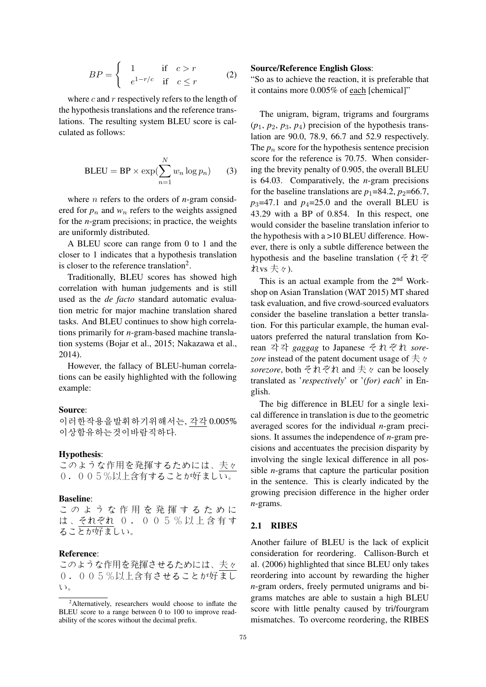$$
BP = \begin{cases} 1 & \text{if } c > r \\ e^{1-r/c} & \text{if } c \le r \end{cases}
$$
 (2)

where  $c$  and  $r$  respectively refers to the length of the hypothesis translations and the reference translations. The resulting system BLEU score is calculated as follows:

$$
BLEU = BP \times \exp(\sum_{n=1}^{N} w_n \log p_n)
$$
 (3)

where n refers to the orders of *n*-gram considered for  $p_n$  and  $w_n$  refers to the weights assigned for the *n*-gram precisions; in practice, the weights are uniformly distributed.

A BLEU score can range from 0 to 1 and the closer to 1 indicates that a hypothesis translation is closer to the reference translation<sup>2</sup>.

Traditionally, BLEU scores has showed high correlation with human judgements and is still used as the *de facto* standard automatic evaluation metric for major machine translation shared tasks. And BLEU continues to show high correlations primarily for *n*-gram-based machine translation systems (Bojar et al., 2015; Nakazawa et al., 2014).

However, the fallacy of BLEU-human correlations can be easily highlighted with the following example:

### Source:

이러한작용을발휘하기위해서는, 각각 0.005% 이상함유하는것이바람직하다.

#### Hypothesis:

このような作用を発揮するためには、夫々 0.005%以上含有することが好ましい。

#### Baseline:

この よ う な 作 用 を 発 揮 す る た め に は 、それぞれ 0 . 0 0 5 % 以 上 含 有 す ることが好ましい。

#### Reference:

このような作用を発揮させるためには、夫々 0.005%以上含有させることが好まし い。

#### Source/Reference English Gloss:

"So as to achieve the reaction, it is preferable that it contains more 0.005% of each [chemical]"

The unigram, bigram, trigrams and fourgrams (*p*1, *p*2, *p*3, *p*4) precision of the hypothesis translation are 90.0, 78.9, 66.7 and 52.9 respectively. The  $p_n$  score for the hypothesis sentence precision score for the reference is 70.75. When considering the brevity penalty of 0.905, the overall BLEU is 64.03. Comparatively, the *n*-gram precisions for the baseline translations are  $p_1$ =84.2,  $p_2$ =66.7,  $p_3$ =47.1 and  $p_4$ =25.0 and the overall BLEU is 43.29 with a BP of 0.854. In this respect, one would consider the baseline translation inferior to the hypothesis with a >10 BLEU difference. However, there is only a subtle difference between the hypothesis and the baseline translation (それぞ れvs 夫々).

This is an actual example from the 2<sup>nd</sup> Workshop on Asian Translation (WAT 2015) MT shared task evaluation, and five crowd-sourced evaluators consider the baseline translation a better translation. For this particular example, the human evaluators preferred the natural translation from Korean 각각 *gaggag* to Japanese それぞれ *sore*zore instead of the patent document usage of 夫々 *sorezore*, both それぞれ and 夫々 can be loosely translated as '*respectively*' or '*(for) each*' in English.

The big difference in BLEU for a single lexical difference in translation is due to the geometric averaged scores for the individual *n*-gram precisions. It assumes the independence of *n*-gram precisions and accentuates the precision disparity by involving the single lexical difference in all possible *n*-grams that capture the particular position in the sentence. This is clearly indicated by the growing precision difference in the higher order *n*-grams.

#### 2.1 RIBES

Another failure of BLEU is the lack of explicit consideration for reordering. Callison-Burch et al. (2006) highlighted that since BLEU only takes reordering into account by rewarding the higher *n*-gram orders, freely permuted unigrams and bigrams matches are able to sustain a high BLEU score with little penalty caused by tri/fourgram mismatches. To overcome reordering, the RIBES

 $2$ Alternatively, researchers would choose to inflate the BLEU score to a range between 0 to 100 to improve readability of the scores without the decimal prefix.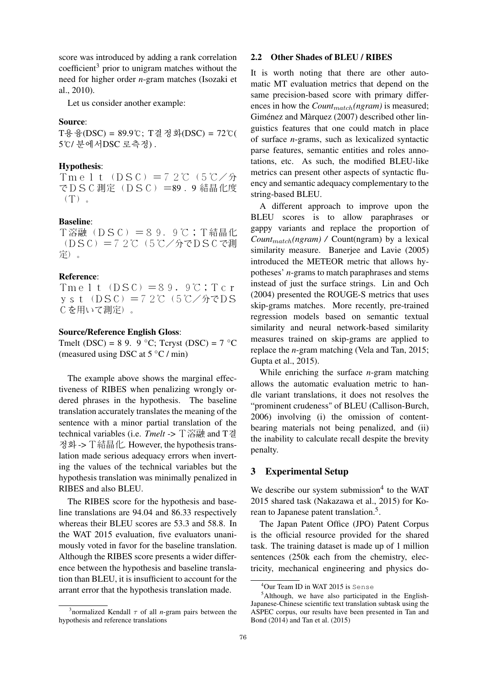score was introduced by adding a rank correlation coefficient<sup>3</sup> prior to unigram matches without the need for higher order *n*-gram matches (Isozaki et al., 2010).

Let us consider another example:

# Source:

 $T\frac{8}{5}$ 융(DSC) = 89.9℃; T결정화(DSC) = 72℃( 5℃/ 분에서DSC 로측정).

#### Hypothesis:

Tmelt(DSC)=72℃(5℃/分 でDSC測定(DSC)=89 . 9 結晶化度  $(T)$ 

#### Baseline:

T溶融(DSC)=89. 9℃;T結晶化 (DSC)=72℃(5℃/分でDSCで測 定)。

### Reference:

Tmelt $(DSC)$ =89.9℃;Tcr yst(DSC)=72℃(5℃/分でDS Cを用いて測定)。

### Source/Reference English Gloss:

Tmelt (DSC) = 8 9. 9  $\degree$ C; Tcryst (DSC) = 7  $\degree$ C (measured using DSC at  $5^{\circ}$ C / min)

The example above shows the marginal effectiveness of RIBES when penalizing wrongly ordered phrases in the hypothesis. The baseline translation accurately translates the meaning of the sentence with a minor partial translation of the technical variables (i.e. *Tmelt* -> T溶融 and T결 정화 -> T結晶化. However, the hypothesis translation made serious adequacy errors when inverting the values of the technical variables but the hypothesis translation was minimally penalized in RIBES and also BLEU.

The RIBES score for the hypothesis and baseline translations are 94.04 and 86.33 respectively whereas their BLEU scores are 53.3 and 58.8. In the WAT 2015 evaluation, five evaluators unanimously voted in favor for the baseline translation. Although the RIBES score presents a wider difference between the hypothesis and baseline translation than BLEU, it is insufficient to account for the arrant error that the hypothesis translation made.

#### 2.2 Other Shades of BLEU / RIBES

It is worth noting that there are other automatic MT evaluation metrics that depend on the same precision-based score with primary differences in how the *Count<sub>match</sub>*(ngram) is measured; Giménez and Màrquez (2007) described other linguistics features that one could match in place of surface *n*-grams, such as lexicalized syntactic parse features, semantic entities and roles annotations, etc. As such, the modified BLEU-like metrics can present other aspects of syntactic fluency and semantic adequacy complementary to the string-based BLEU.

A different approach to improve upon the BLEU scores is to allow paraphrases or gappy variants and replace the proportion of *Count*<sub>match</sub>(ngram) / Count(ngram) by a lexical similarity measure. Banerjee and Lavie (2005) introduced the METEOR metric that allows hypotheses' *n*-grams to match paraphrases and stems instead of just the surface strings. Lin and Och (2004) presented the ROUGE-S metrics that uses skip-grams matches. More recently, pre-trained regression models based on semantic textual similarity and neural network-based similarity measures trained on skip-grams are applied to replace the *n*-gram matching (Vela and Tan, 2015; Gupta et al., 2015).

While enriching the surface *n*-gram matching allows the automatic evaluation metric to handle variant translations, it does not resolves the "prominent crudeness" of BLEU (Callison-Burch, 2006) involving (i) the omission of contentbearing materials not being penalized, and (ii) the inability to calculate recall despite the brevity penalty.

#### 3 Experimental Setup

We describe our system submission $4$  to the WAT 2015 shared task (Nakazawa et al., 2015) for Korean to Japanese patent translation.<sup>5</sup>.

The Japan Patent Office (JPO) Patent Corpus is the official resource provided for the shared task. The training dataset is made up of 1 million sentences (250k each from the chemistry, electricity, mechanical engineering and physics do-

<sup>&</sup>lt;sup>3</sup> normalized Kendall  $\tau$  of all *n*-gram pairs between the hypothesis and reference translations

<sup>4</sup>Our Team ID in WAT 2015 is Sense

 $<sup>5</sup>$ Although, we have also participated in the English-</sup> Japanese-Chinese scientific text translation subtask using the ASPEC corpus, our results have been presented in Tan and Bond (2014) and Tan et al. (2015)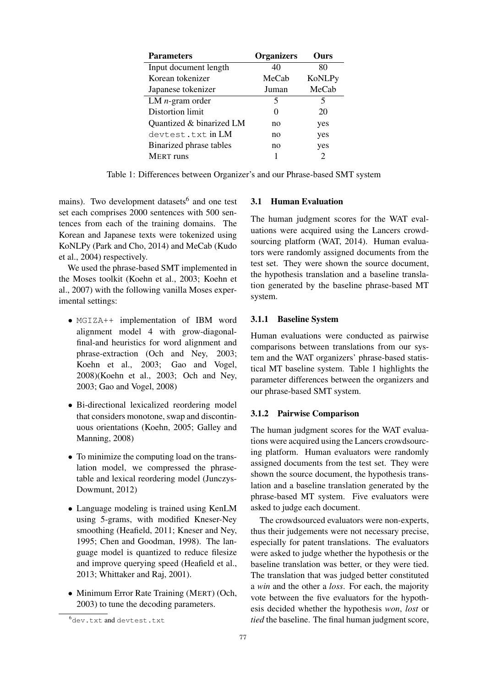| <b>Parameters</b>        | <b>Organizers</b> | Ours                        |
|--------------------------|-------------------|-----------------------------|
| Input document length    | 40                | 80                          |
| Korean tokenizer         | MeCab             | <b>KoNLPy</b>               |
| Japanese tokenizer       | Juman             | MeCab                       |
| LM $n$ -gram order       | 5                 | 5                           |
| Distortion limit         | 0                 | 20                          |
| Quantized & binarized LM | no                | yes                         |
| devtest.txt in LM        | no                | yes                         |
| Binarized phrase tables  | no                | yes                         |
| <b>MERT</b> runs         |                   | $\mathcal{D}_{\mathcal{L}}$ |

Table 1: Differences between Organizer's and our Phrase-based SMT system

mains). Two development datasets<sup>6</sup> and one test set each comprises 2000 sentences with 500 sentences from each of the training domains. The Korean and Japanese texts were tokenized using KoNLPy (Park and Cho, 2014) and MeCab (Kudo et al., 2004) respectively.

We used the phrase-based SMT implemented in the Moses toolkit (Koehn et al., 2003; Koehn et al., 2007) with the following vanilla Moses experimental settings:

- MGIZA++ implementation of IBM word alignment model 4 with grow-diagonalfinal-and heuristics for word alignment and phrase-extraction (Och and Ney, 2003; Koehn et al., 2003; Gao and Vogel, 2008)(Koehn et al., 2003; Och and Ney, 2003; Gao and Vogel, 2008)
- Bi-directional lexicalized reordering model that considers monotone, swap and discontinuous orientations (Koehn, 2005; Galley and Manning, 2008)
- To minimize the computing load on the translation model, we compressed the phrasetable and lexical reordering model (Junczys-Dowmunt, 2012)
- Language modeling is trained using KenLM using 5-grams, with modified Kneser-Ney smoothing (Heafield, 2011; Kneser and Ney, 1995; Chen and Goodman, 1998). The language model is quantized to reduce filesize and improve querying speed (Heafield et al., 2013; Whittaker and Raj, 2001).
- Minimum Error Rate Training (MERT) (Och, 2003) to tune the decoding parameters.

#### 3.1 Human Evaluation

The human judgment scores for the WAT evaluations were acquired using the Lancers crowdsourcing platform (WAT, 2014). Human evaluators were randomly assigned documents from the test set. They were shown the source document, the hypothesis translation and a baseline translation generated by the baseline phrase-based MT system.

# 3.1.1 Baseline System

Human evaluations were conducted as pairwise comparisons between translations from our system and the WAT organizers' phrase-based statistical MT baseline system. Table 1 highlights the parameter differences between the organizers and our phrase-based SMT system.

### 3.1.2 Pairwise Comparison

The human judgment scores for the WAT evaluations were acquired using the Lancers crowdsourcing platform. Human evaluators were randomly assigned documents from the test set. They were shown the source document, the hypothesis translation and a baseline translation generated by the phrase-based MT system. Five evaluators were asked to judge each document.

The crowdsourced evaluators were non-experts, thus their judgements were not necessary precise, especially for patent translations. The evaluators were asked to judge whether the hypothesis or the baseline translation was better, or they were tied. The translation that was judged better constituted a *win* and the other a *loss*. For each, the majority vote between the five evaluators for the hypothesis decided whether the hypothesis *won*, *lost* or *tied* the baseline. The final human judgment score,

<sup>6</sup>dev.txt and devtest.txt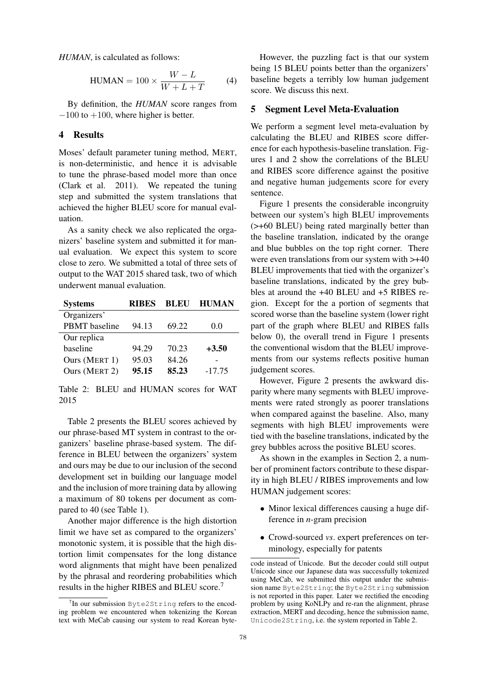*HUMAN*, is calculated as follows:

$$
HUMAN = 100 \times \frac{W - L}{W + L + T}
$$
 (4)

By definition, the *HUMAN* score ranges from  $-100$  to  $+100$ , where higher is better.

### 4 Results

Moses' default parameter tuning method, MERT, is non-deterministic, and hence it is advisable to tune the phrase-based model more than once (Clark et al. 2011). We repeated the tuning step and submitted the system translations that achieved the higher BLEU score for manual evaluation.

As a sanity check we also replicated the organizers' baseline system and submitted it for manual evaluation. We expect this system to score close to zero. We submitted a total of three sets of output to the WAT 2015 shared task, two of which underwent manual evaluation.

| <b>Systems</b> | <b>RIBES</b> | <b>BLEU</b> | <b>HUMAN</b> |
|----------------|--------------|-------------|--------------|
| Organizers'    |              |             |              |
| PBMT baseline  | 94.13        | 69.22       | 0.0          |
| Our replica    |              |             |              |
| baseline       | 94.29        | 70.23       | $+3.50$      |
| Ours (MERT 1)  | 95.03        | 84.26       |              |
| Ours (MERT 2)  | 95.15        | 85.23       | $-17.75$     |

Table 2: BLEU and HUMAN scores for WAT 2015

Table 2 presents the BLEU scores achieved by our phrase-based MT system in contrast to the organizers' baseline phrase-based system. The difference in BLEU between the organizers' system and ours may be due to our inclusion of the second development set in building our language model and the inclusion of more training data by allowing a maximum of 80 tokens per document as compared to 40 (see Table 1).

Another major difference is the high distortion limit we have set as compared to the organizers' monotonic system, it is possible that the high distortion limit compensates for the long distance word alignments that might have been penalized by the phrasal and reordering probabilities which results in the higher RIBES and BLEU score.<sup>7</sup>

However, the puzzling fact is that our system being 15 BLEU points better than the organizers' baseline begets a terribly low human judgement score. We discuss this next.

#### 5 Segment Level Meta-Evaluation

We perform a segment level meta-evaluation by calculating the BLEU and RIBES score difference for each hypothesis-baseline translation. Figures 1 and 2 show the correlations of the BLEU and RIBES score difference against the positive and negative human judgements score for every sentence.

Figure 1 presents the considerable incongruity between our system's high BLEU improvements (>+60 BLEU) being rated marginally better than the baseline translation, indicated by the orange and blue bubbles on the top right corner. There were even translations from our system with >+40 BLEU improvements that tied with the organizer's baseline translations, indicated by the grey bubbles at around the +40 BLEU and +5 RIBES region. Except for the a portion of segments that scored worse than the baseline system (lower right part of the graph where BLEU and RIBES falls below 0), the overall trend in Figure 1 presents the conventional wisdom that the BLEU improvements from our systems reflects positive human judgement scores.

However, Figure 2 presents the awkward disparity where many segments with BLEU improvements were rated strongly as poorer translations when compared against the baseline. Also, many segments with high BLEU improvements were tied with the baseline translations, indicated by the grey bubbles across the positive BLEU scores.

As shown in the examples in Section 2, a number of prominent factors contribute to these disparity in high BLEU / RIBES improvements and low HUMAN judgement scores:

- Minor lexical differences causing a huge difference in *n*-gram precision
- Crowd-sourced *vs*. expert preferences on terminology, especially for patents

<sup>&</sup>lt;sup>7</sup>In our submission Byte2String refers to the encoding problem we encountered when tokenizing the Korean text with MeCab causing our system to read Korean byte-

code instead of Unicode. But the decoder could still output Unicode since our Japanese data was successfully tokenized using MeCab, we submitted this output under the submission name Byte2String; the Byte2String submission is not reported in this paper. Later we rectified the encoding problem by using KoNLPy and re-ran the alignment, phrase extraction, MERT and decoding, hence the submission name, Unicode2String, i.e. the system reported in Table 2.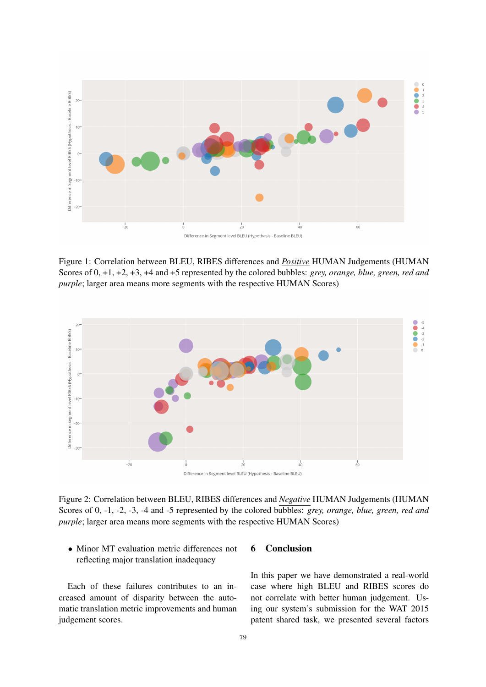

Figure 1: Correlation between BLEU, RIBES differences and *Positive* HUMAN Judgements (HUMAN Scores of 0, +1, +2, +3, +4 and +5 represented by the colored bubbles: *grey, orange, blue, green, red and purple*; larger area means more segments with the respective HUMAN Scores)



Figure 2: Correlation between BLEU, RIBES differences and *Negative* HUMAN Judgements (HUMAN Scores of 0, -1, -2, -3, -4 and -5 represented by the colored bubbles: *grey, orange, blue, green, red and purple*; larger area means more segments with the respective HUMAN Scores)

• Minor MT evaluation metric differences not reflecting major translation inadequacy

Each of these failures contributes to an increased amount of disparity between the automatic translation metric improvements and human judgement scores.

# 6 Conclusion

In this paper we have demonstrated a real-world case where high BLEU and RIBES scores do not correlate with better human judgement. Using our system's submission for the WAT 2015 patent shared task, we presented several factors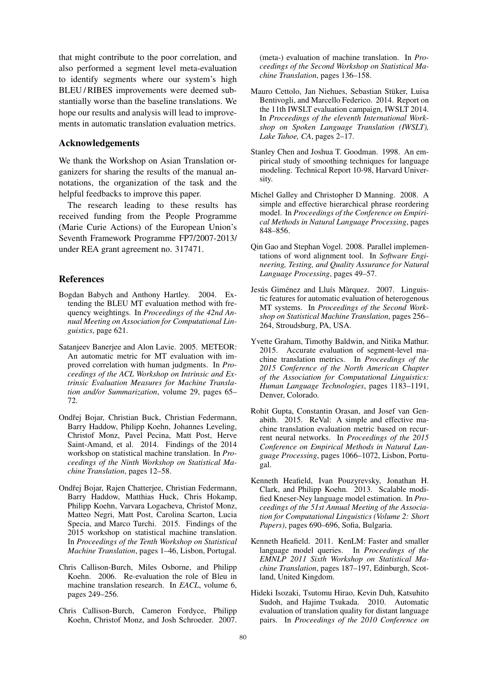that might contribute to the poor correlation, and also performed a segment level meta-evaluation to identify segments where our system's high BLEU/RIBES improvements were deemed substantially worse than the baseline translations. We hope our results and analysis will lead to improvements in automatic translation evaluation metrics.

#### Acknowledgements

We thank the Workshop on Asian Translation organizers for sharing the results of the manual annotations, the organization of the task and the helpful feedbacks to improve this paper.

The research leading to these results has received funding from the People Programme (Marie Curie Actions) of the European Union's Seventh Framework Programme FP7/2007-2013/ under REA grant agreement no. 317471.

# **References**

- Bogdan Babych and Anthony Hartley. 2004. Extending the BLEU MT evaluation method with frequency weightings. In *Proceedings of the 42nd Annual Meeting on Association for Computational Linguistics*, page 621.
- Satanjeev Banerjee and Alon Lavie. 2005. METEOR: An automatic metric for MT evaluation with improved correlation with human judgments. In *Proceedings of the ACL Workshop on Intrinsic and Extrinsic Evaluation Measures for Machine Translation and/or Summarization*, volume 29, pages 65– 72.
- Ondřej Bojar, Christian Buck, Christian Federmann, Barry Haddow, Philipp Koehn, Johannes Leveling, Christof Monz, Pavel Pecina, Matt Post, Herve Saint-Amand, et al. 2014. Findings of the 2014 workshop on statistical machine translation. In *Proceedings of the Ninth Workshop on Statistical Machine Translation*, pages 12–58.
- Ondřej Bojar, Rajen Chatterjee, Christian Federmann, Barry Haddow, Matthias Huck, Chris Hokamp, Philipp Koehn, Varvara Logacheva, Christof Monz, Matteo Negri, Matt Post, Carolina Scarton, Lucia Specia, and Marco Turchi. 2015. Findings of the 2015 workshop on statistical machine translation. In *Proceedings of the Tenth Workshop on Statistical Machine Translation*, pages 1–46, Lisbon, Portugal.
- Chris Callison-Burch, Miles Osborne, and Philipp Koehn. 2006. Re-evaluation the role of Bleu in machine translation research. In *EACL*, volume 6, pages 249–256.
- Chris Callison-Burch, Cameron Fordyce, Philipp Koehn, Christof Monz, and Josh Schroeder. 2007.

(meta-) evaluation of machine translation. In *Proceedings of the Second Workshop on Statistical Machine Translation*, pages 136–158.

- Mauro Cettolo, Jan Niehues, Sebastian Stüker, Luisa Bentivogli, and Marcello Federico. 2014. Report on the 11th IWSLT evaluation campaign, IWSLT 2014. In *Proceedings of the eleventh International Workshop on Spoken Language Translation (IWSLT), Lake Tahoe, CA*, pages 2–17.
- Stanley Chen and Joshua T. Goodman. 1998. An empirical study of smoothing techniques for language modeling. Technical Report 10-98, Harvard University.
- Michel Galley and Christopher D Manning. 2008. A simple and effective hierarchical phrase reordering model. In *Proceedings of the Conference on Empirical Methods in Natural Language Processing*, pages 848–856.
- Qin Gao and Stephan Vogel. 2008. Parallel implementations of word alignment tool. In *Software Engineering, Testing, and Quality Assurance for Natural Language Processing*, pages 49–57.
- Jesús Giménez and Lluís Màrquez. 2007. Linguistic features for automatic evaluation of heterogenous MT systems. In *Proceedings of the Second Workshop on Statistical Machine Translation*, pages 256– 264, Stroudsburg, PA, USA.
- Yvette Graham, Timothy Baldwin, and Nitika Mathur. 2015. Accurate evaluation of segment-level machine translation metrics. In *Proceedings of the 2015 Conference of the North American Chapter of the Association for Computational Linguistics: Human Language Technologies*, pages 1183–1191, Denver, Colorado.
- Rohit Gupta, Constantin Orasan, and Josef van Genabith. 2015. ReVal: A simple and effective machine translation evaluation metric based on recurrent neural networks. In *Proceedings of the 2015 Conference on Empirical Methods in Natural Language Processing*, pages 1066–1072, Lisbon, Portugal.
- Kenneth Heafield, Ivan Pouzyrevsky, Jonathan H. Clark, and Philipp Koehn. 2013. Scalable modified Kneser-Ney language model estimation. In *Proceedings of the 51st Annual Meeting of the Association for Computational Linguistics (Volume 2: Short Papers)*, pages 690–696, Sofia, Bulgaria.
- Kenneth Heafield. 2011. KenLM: Faster and smaller language model queries. In *Proceedings of the EMNLP 2011 Sixth Workshop on Statistical Machine Translation*, pages 187–197, Edinburgh, Scotland, United Kingdom.
- Hideki Isozaki, Tsutomu Hirao, Kevin Duh, Katsuhito Sudoh, and Hajime Tsukada. 2010. Automatic evaluation of translation quality for distant language pairs. In *Proceedings of the 2010 Conference on*